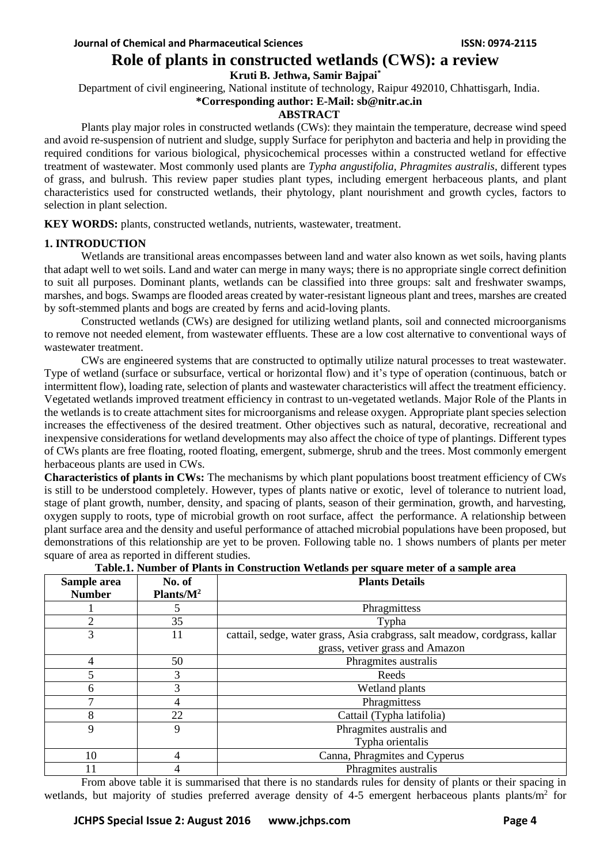# **Role of plants in constructed wetlands (CWS): a review**

**Kruti B. Jethwa, Samir Bajpai\***

Department of civil engineering, National institute of technology, Raipur 492010, Chhattisgarh, India.

# **\*Corresponding author: E-Mail: sb@nitr.ac.in**

### **ABSTRACT**

Plants play major roles in constructed wetlands (CWs): they maintain the temperature, decrease wind speed and avoid re-suspension of nutrient and sludge, supply Surface for periphyton and bacteria and help in providing the required conditions for various biological, physicochemical processes within a constructed wetland for effective treatment of wastewater. Most commonly used plants are *Typha angustifolia, Phragmites australis*, different types of grass, and bulrush. This review paper studies plant types, including emergent herbaceous plants, and plant characteristics used for constructed wetlands, their phytology, plant nourishment and growth cycles, factors to selection in plant selection.

**KEY WORDS:** plants, constructed wetlands, nutrients, wastewater, treatment.

# **1. INTRODUCTION**

Wetlands are transitional areas encompasses between land and water also known as wet soils, having plants that adapt well to wet soils. Land and water can merge in many ways; there is no appropriate single correct definition to suit all purposes. Dominant plants, wetlands can be classified into three groups: salt and freshwater swamps, marshes, and bogs. Swamps are flooded areas created by water-resistant ligneous plant and trees, marshes are created by soft-stemmed plants and bogs are created by ferns and acid-loving plants.

Constructed wetlands (CWs) are designed for utilizing wetland plants, soil and connected microorganisms to remove not needed element, from wastewater effluents. These are a low cost alternative to conventional ways of wastewater treatment.

CWs are engineered systems that are constructed to optimally utilize natural processes to treat wastewater. Type of wetland (surface or subsurface, vertical or horizontal flow) and it's type of operation (continuous, batch or intermittent flow), loading rate, selection of plants and wastewater characteristics will affect the treatment efficiency. Vegetated wetlands improved treatment efficiency in contrast to un-vegetated wetlands. Major Role of the Plants in the wetlands is to create attachment sites for microorganisms and release oxygen. Appropriate plant species selection increases the effectiveness of the desired treatment. Other objectives such as natural, decorative, recreational and inexpensive considerations for wetland developments may also affect the choice of type of plantings. Different types of CWs plants are free floating, rooted floating, emergent, submerge, shrub and the trees. Most commonly emergent herbaceous plants are used in CWs.

**Characteristics of plants in CWs:** The mechanisms by which plant populations boost treatment efficiency of CWs is still to be understood completely. However, types of plants native or exotic, level of tolerance to nutrient load, stage of plant growth, number, density, and spacing of plants, season of their germination, growth, and harvesting, oxygen supply to roots, type of microbial growth on root surface, affect the performance. A relationship between plant surface area and the density and useful performance of attached microbial populations have been proposed, but demonstrations of this relationship are yet to be proven. Following table no. 1 shows numbers of plants per meter square of area as reported in different studies.

| Sample area    | No. of        | <b>Plants Details</b>                                                       |  |  |
|----------------|---------------|-----------------------------------------------------------------------------|--|--|
| <b>Number</b>  | Plants/ $M^2$ |                                                                             |  |  |
|                |               | Phragmittess                                                                |  |  |
| $\overline{2}$ | 35            | Typha                                                                       |  |  |
| 3              | 11            | cattail, sedge, water grass, Asia crabgrass, salt meadow, cordgrass, kallar |  |  |
|                |               | grass, vetiver grass and Amazon                                             |  |  |
| 4              | 50            | Phragmites australis                                                        |  |  |
| 5              | 3             | Reeds                                                                       |  |  |
| 6              | 3             | Wetland plants                                                              |  |  |
|                |               | Phragmittess                                                                |  |  |
| 8              | 22            | Cattail (Typha latifolia)                                                   |  |  |
| 9              | 9             | Phragmites australis and                                                    |  |  |
|                |               | Typha orientalis                                                            |  |  |
| 10             | 4             | Canna, Phragmites and Cyperus                                               |  |  |
|                |               | Phragmites australis                                                        |  |  |

**Table.1. Number of Plants in Construction Wetlands per square meter of a sample area**

From above table it is summarised that there is no standards rules for density of plants or their spacing in wetlands, but majority of studies preferred average density of 4-5 emergent herbaceous plants plants/m<sup>2</sup> for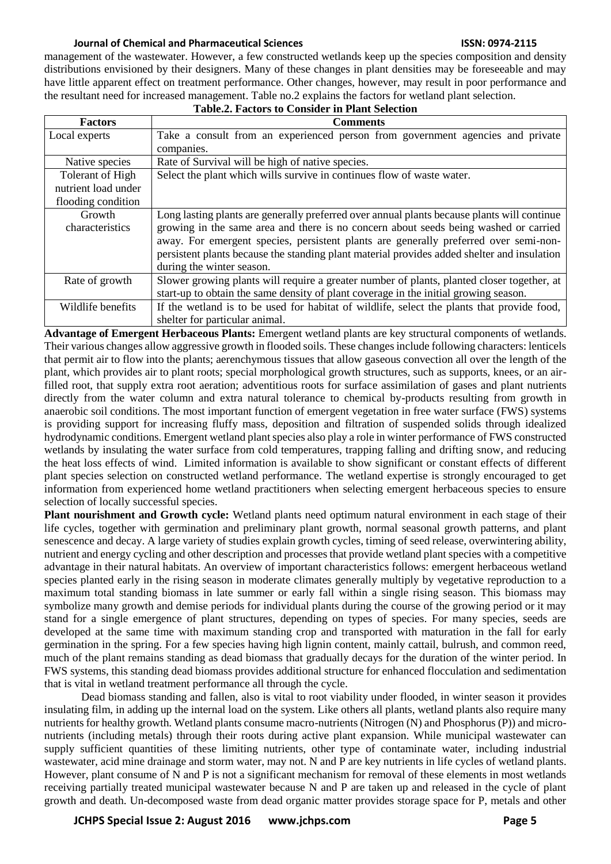management of the wastewater. However, a few constructed wetlands keep up the species composition and density distributions envisioned by their designers. Many of these changes in plant densities may be foreseeable and may have little apparent effect on treatment performance. Other changes, however, may result in poor performance and the resultant need for increased management. Table no.2 explains the factors for wetland plant selection.

| <b>Table.2. Factors to Consider in Plant Selection</b> |                                                                                             |  |  |  |  |  |
|--------------------------------------------------------|---------------------------------------------------------------------------------------------|--|--|--|--|--|
| <b>Factors</b>                                         | <b>Comments</b>                                                                             |  |  |  |  |  |
| Local experts                                          | Take a consult from an experienced person from government agencies and private              |  |  |  |  |  |
|                                                        | companies.                                                                                  |  |  |  |  |  |
| Native species                                         | Rate of Survival will be high of native species.                                            |  |  |  |  |  |
| Tolerant of High                                       | Select the plant which wills survive in continues flow of waste water.                      |  |  |  |  |  |
| nutrient load under                                    |                                                                                             |  |  |  |  |  |
| flooding condition                                     |                                                                                             |  |  |  |  |  |
| Growth                                                 | Long lasting plants are generally preferred over annual plants because plants will continue |  |  |  |  |  |
| characteristics                                        | growing in the same area and there is no concern about seeds being washed or carried        |  |  |  |  |  |
|                                                        | away. For emergent species, persistent plants are generally preferred over semi-non-        |  |  |  |  |  |
|                                                        | persistent plants because the standing plant material provides added shelter and insulation |  |  |  |  |  |
|                                                        | during the winter season.                                                                   |  |  |  |  |  |
| Rate of growth                                         | Slower growing plants will require a greater number of plants, planted closer together, at  |  |  |  |  |  |
|                                                        | start-up to obtain the same density of plant coverage in the initial growing season.        |  |  |  |  |  |
| Wildlife benefits                                      | If the wetland is to be used for habitat of wildlife, select the plants that provide food,  |  |  |  |  |  |
|                                                        | shelter for particular animal.                                                              |  |  |  |  |  |

**Advantage of Emergent Herbaceous Plants:** Emergent wetland plants are key structural components of wetlands. Their various changes allow aggressive growth in flooded soils. These changes include following characters: lenticels that permit air to flow into the plants; aerenchymous tissues that allow gaseous convection all over the length of the plant, which provides air to plant roots; special morphological growth structures, such as supports, knees, or an airfilled root, that supply extra root aeration; adventitious roots for surface assimilation of gases and plant nutrients directly from the water column and extra natural tolerance to chemical by-products resulting from growth in anaerobic soil conditions. The most important function of emergent vegetation in free water surface (FWS) systems is providing support for increasing fluffy mass, deposition and filtration of suspended solids through idealized hydrodynamic conditions. Emergent wetland plant species also play a role in winter performance of FWS constructed wetlands by insulating the water surface from cold temperatures, trapping falling and drifting snow, and reducing the heat loss effects of wind. Limited information is available to show significant or constant effects of different plant species selection on constructed wetland performance. The wetland expertise is strongly encouraged to get information from experienced home wetland practitioners when selecting emergent herbaceous species to ensure selection of locally successful species.

**Plant nourishment and Growth cycle:** Wetland plants need optimum natural environment in each stage of their life cycles, together with germination and preliminary plant growth, normal seasonal growth patterns, and plant senescence and decay. A large variety of studies explain growth cycles, timing of seed release, overwintering ability, nutrient and energy cycling and other description and processes that provide wetland plant species with a competitive advantage in their natural habitats. An overview of important characteristics follows: emergent herbaceous wetland species planted early in the rising season in moderate climates generally multiply by vegetative reproduction to a maximum total standing biomass in late summer or early fall within a single rising season. This biomass may symbolize many growth and demise periods for individual plants during the course of the growing period or it may stand for a single emergence of plant structures, depending on types of species. For many species, seeds are developed at the same time with maximum standing crop and transported with maturation in the fall for early germination in the spring. For a few species having high lignin content, mainly cattail, bulrush, and common reed, much of the plant remains standing as dead biomass that gradually decays for the duration of the winter period. In FWS systems, this standing dead biomass provides additional structure for enhanced flocculation and sedimentation that is vital in wetland treatment performance all through the cycle.

Dead biomass standing and fallen, also is vital to root viability under flooded, in winter season it provides insulating film, in adding up the internal load on the system. Like others all plants, wetland plants also require many nutrients for healthy growth. Wetland plants consume macro-nutrients (Nitrogen (N) and Phosphorus (P)) and micronutrients (including metals) through their roots during active plant expansion. While municipal wastewater can supply sufficient quantities of these limiting nutrients, other type of contaminate water, including industrial wastewater, acid mine drainage and storm water, may not. N and P are key nutrients in life cycles of wetland plants. However, plant consume of N and P is not a significant mechanism for removal of these elements in most wetlands receiving partially treated municipal wastewater because N and P are taken up and released in the cycle of plant growth and death. Un-decomposed waste from dead organic matter provides storage space for P, metals and other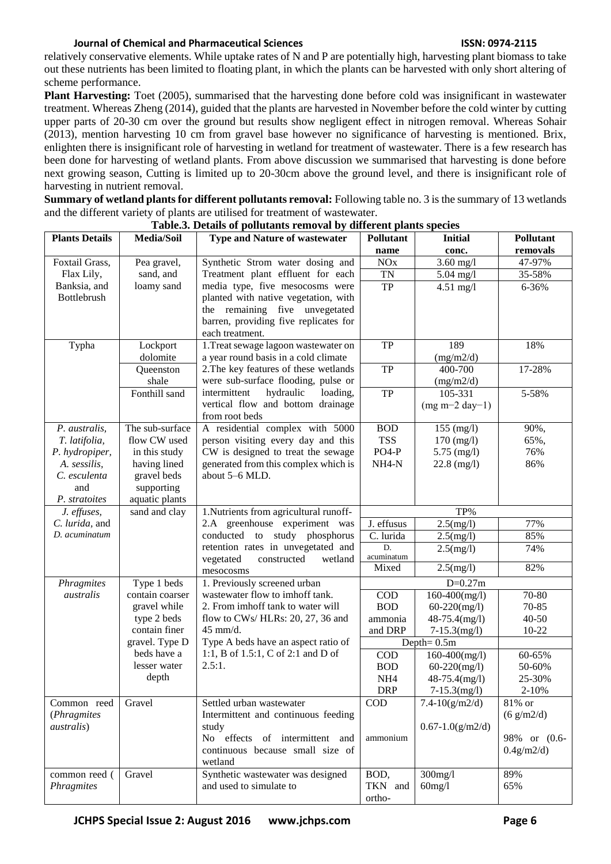relatively conservative elements. While uptake rates of N and P are potentially high, harvesting plant biomass to take out these nutrients has been limited to floating plant, in which the plants can be harvested with only short altering of scheme performance.

**Plant Harvesting:** Toet (2005), summarised that the harvesting done before cold was insignificant in wastewater treatment. Whereas Zheng (2014), guided that the plants are harvested in November before the cold winter by cutting upper parts of 20-30 cm over the ground but results show negligent effect in nitrogen removal. Whereas Sohair (2013), mention harvesting 10 cm from gravel base however no significance of harvesting is mentioned. Brix, enlighten there is insignificant role of harvesting in wetland for treatment of wastewater. There is a few research has been done for harvesting of wetland plants. From above discussion we summarised that harvesting is done before next growing season, Cutting is limited up to 20-30cm above the ground level, and there is insignificant role of harvesting in nutrient removal.

**Summary of wetland plants for different pollutants removal:** Following table no. 3 is the summary of 13 wetlands and the different variety of plants are utilised for treatment of wastewater.

| <b>Plants Details</b> | Media/Soil      | <b>Type and Nature of wastewater</b>   | Pollutant             | <b>Initial</b>        | Pollutant    |
|-----------------------|-----------------|----------------------------------------|-----------------------|-----------------------|--------------|
|                       |                 |                                        | name                  | conc.                 | removals     |
| Foxtail Grass,        | Pea gravel,     | Synthetic Strom water dosing and       | <b>NO<sub>x</sub></b> | $3.60$ mg/l           | 47-97%       |
| Flax Lily,            | sand, and       | Treatment plant effluent for each      | <b>TN</b>             | $5.04$ mg/l           | 35-58%       |
| Banksia, and          | loamy sand      | media type, five mesocosms were        | <b>TP</b>             | $4.51$ mg/l           | 6-36%        |
| <b>Bottlebrush</b>    |                 | planted with native vegetation, with   |                       |                       |              |
|                       |                 | the remaining five unvegetated         |                       |                       |              |
|                       |                 | barren, providing five replicates for  |                       |                       |              |
|                       |                 | each treatment.                        |                       |                       |              |
| Typha                 | Lockport        | 1. Treat sewage lagoon wastewater on   | TP                    | 189                   | 18%          |
|                       | dolomite        | a year round basis in a cold climate   |                       | (mg/m2/d)             |              |
|                       | Queenston       | 2. The key features of these wetlands  | <b>TP</b>             | 400-700               | 17-28%       |
|                       | shale           | were sub-surface flooding, pulse or    |                       | (mg/m2/d)             |              |
|                       | Fonthill sand   | intermittent<br>hydraulic<br>loading,  | <b>TP</b>             | 105-331               | 5-58%        |
|                       |                 | vertical flow and bottom drainage      |                       | $(mg m-2 day-1)$      |              |
|                       |                 | from root beds                         |                       |                       |              |
| P. australis,         | The sub-surface | A residential complex with 5000        | <b>BOD</b>            | 155 (mg/l)            | 90%,         |
| T. latifolia,         | flow CW used    | person visiting every day and this     | <b>TSS</b>            | $170$ (mg/l)          | 65%,         |
| P. hydropiper,        | in this study   | CW is designed to treat the sewage     | $PO4-P$               | $5.75 \ (mg/l)$       | 76%          |
| A. sessilis,          | having lined    | generated from this complex which is   | NH <sub>4</sub> -N    | $22.8 \text{ (mg/l)}$ | 86%          |
| C. esculenta          | gravel beds     | about 5-6 MLD.                         |                       |                       |              |
| and                   | supporting      |                                        |                       |                       |              |
| P. stratoites         | aquatic plants  |                                        |                       |                       |              |
| J. effuses,           | sand and clay   | 1. Nutrients from agricultural runoff- | TP%                   |                       |              |
| C. lurida, and        |                 | 2.A greenhouse experiment was          | J. effusus            | 2.5(mg/l)             | 77%          |
| D. acuminatum         |                 | conducted to study phosphorus          | C. lurida             | 2.5(mg/l)             | 85%          |
|                       |                 | retention rates in unvegetated and     | D.                    | 2.5(mg/l)             | 74%          |
|                       |                 | vegetated<br>constructed<br>wetland    | acuminatum            |                       |              |
|                       |                 | mesocosms                              | Mixed                 | 2.5(mg/l)             | 82%          |
| Phragmites            | Type 1 beds     | 1. Previously screened urban           |                       | $D=0.27m$             |              |
| australis             | contain coarser | wastewater flow to imhoff tank.        | $\rm{COD}$            | $160-400$ (mg/l)      | 70-80        |
|                       | gravel while    | 2. From imhoff tank to water will      | <b>BOD</b>            | $60-220$ (mg/l)       | 70-85        |
|                       | type 2 beds     | flow to CWs/HLRs: 20, 27, 36 and       | ammonia               | 48-75.4(mg/l)         | 40-50        |
|                       | contain finer   | 45 mm/d.                               | and DRP               | $7-15.3$ (mg/l)       | $10 - 22$    |
|                       | gravel. Type D  | Type A beds have an aspect ratio of    | Depth= $0.5m$         |                       |              |
|                       | beds have a     | 1:1, B of 1.5:1, C of 2:1 and D of     | $\rm{COD}$            | $160-400$ (mg/l)      | 60-65%       |
|                       | lesser water    | 2.5:1.                                 | <b>BOD</b>            | $60-220$ (mg/l)       | 50-60%       |
|                       | depth           |                                        | NH <sub>4</sub>       | 48-75.4(mg/l)         | 25-30%       |
|                       |                 |                                        | <b>DRP</b>            | $7-15.3$ (mg/l)       | $2 - 10%$    |
| Common reed           | Gravel          | Settled urban wastewater               | $\rm{COD}$            | $7.4 - 10(g/m2/d)$    | 81% or       |
| (Phragmites           |                 | Intermittent and continuous feeding    |                       |                       | (6 g/m2/d)   |
| <i>australis</i> )    |                 | study                                  |                       | $0.67 - 1.0(g/m2/d)$  |              |
|                       |                 | No effects of intermittent and         | ammonium              |                       | 98% or (0.6- |
|                       |                 | continuous because small size of       |                       |                       | 0.4g/m2/d)   |
|                       |                 | wetland                                |                       |                       |              |
| common reed (         | Gravel          | Synthetic wastewater was designed      | BOD,                  | $300$ mg/l            | 89%          |
| Phragmites            |                 | and used to simulate to                | TKN and               | $60$ mg/l             | 65%          |
|                       |                 |                                        | ortho-                |                       |              |

**Table.3. Details of pollutants removal by different plants species**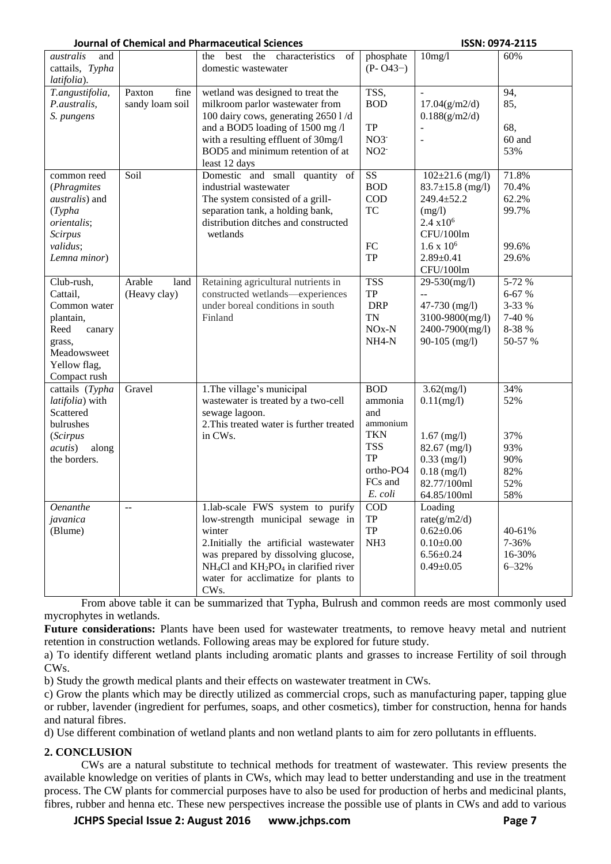| australis<br>and         |                 | best the characteristics<br>the<br>of    | phosphate               | 10mg/l                 | 60%       |
|--------------------------|-----------------|------------------------------------------|-------------------------|------------------------|-----------|
| cattails, Typha          |                 | domestic wastewater                      | $(P - O43-)$            |                        |           |
| latifolia).              |                 |                                          |                         |                        |           |
|                          |                 |                                          |                         |                        |           |
| T.angustifolia,          | fine<br>Paxton  | wetland was designed to treat the        | TSS,                    |                        | 94,       |
| P.australis,             | sandy loam soil | milkroom parlor wastewater from          | <b>BOD</b>              | 17.04(g/m2/d)          | 85,       |
| S. pungens               |                 | 100 dairy cows, generating 2650 1/d      |                         | 0.188(g/m2/d)          |           |
|                          |                 | and a BOD5 loading of 1500 mg /l         | <b>TP</b>               |                        | 68,       |
|                          |                 |                                          |                         |                        |           |
|                          |                 | with a resulting effluent of 30mg/l      | $NO3^-$                 |                        | 60 and    |
|                          |                 | BOD5 and minimum retention of at         | $NO2^-$                 |                        | 53%       |
|                          |                 | least 12 days                            |                         |                        |           |
| common reed              | Soil            | Domestic and small quantity<br>of        | $\overline{\text{SS}}$  | $102 \pm 21.6$ (mg/l)  | 71.8%     |
|                          |                 |                                          | <b>BOD</b>              |                        | 70.4%     |
| (Phragmites              |                 | industrial wastewater                    |                         | $83.7 \pm 15.8$ (mg/l) |           |
| <i>australis</i> ) and   |                 | The system consisted of a grill-         | <b>COD</b>              | 249.4±52.2             | 62.2%     |
| (Typha)                  |                 | separation tank, a holding bank,         | <b>TC</b>               | (mg/l)                 | 99.7%     |
| orientalis;              |                 | distribution ditches and constructed     |                         | $2.4 \times 10^6$      |           |
| Scirpus                  |                 | wetlands                                 |                         | CFU/100lm              |           |
|                          |                 |                                          | FC                      | $1.6 \times 10^6$      | 99.6%     |
| validus;                 |                 |                                          |                         |                        |           |
| Lemna minor)             |                 |                                          | <b>TP</b>               | $2.89 \pm 0.41$        | 29.6%     |
|                          |                 |                                          |                         | CFU/100lm              |           |
| Club-rush,               | Arable<br>land  | Retaining agricultural nutrients in      | <b>TSS</b>              | 29-530(mg/l)           | 5-72 %    |
| Cattail,                 | (Heavy clay)    | constructed wetlands-experiences         | <b>TP</b>               | $\overline{a}$         | 6-67 %    |
|                          |                 | under boreal conditions in south         |                         |                        | 3-33 %    |
| Common water             |                 |                                          | <b>DRP</b>              | 47-730 (mg/l)          |           |
| plantain,                |                 | Finland                                  | <b>TN</b>               | 3100-9800(mg/l)        | 7-40 %    |
| Reed<br>canary           |                 |                                          | $NOx-N$                 | 2400-7900(mg/l)        | 8-38 %    |
| grass,                   |                 |                                          | NH <sub>4</sub> -N      | $90-105$ (mg/l)        | 50-57 %   |
| Meadowsweet              |                 |                                          |                         |                        |           |
| Yellow flag,             |                 |                                          |                         |                        |           |
|                          |                 |                                          |                         |                        |           |
| Compact rush             |                 |                                          |                         |                        |           |
| cattails $(Typha)$       | Gravel          | 1. The village's municipal               | <b>BOD</b>              | $3.62$ (mg/l)          | 34%       |
| latifolia) with          |                 | wastewater is treated by a two-cell      | ammonia                 | $0.11$ (mg/l)          | 52%       |
| Scattered                |                 | sewage lagoon.                           | and                     |                        |           |
| bulrushes                |                 | 2. This treated water is further treated | ammonium                |                        |           |
|                          |                 |                                          | <b>TKN</b>              |                        |           |
| (Scirpus                 |                 | in CWs.                                  |                         | $1.67$ (mg/l)          | 37%       |
| <i>acutis</i> )<br>along |                 |                                          | <b>TSS</b>              | $82.67$ (mg/l)         | 93%       |
| the borders.             |                 |                                          | <b>TP</b>               | $0.33$ (mg/l)          | 90%       |
|                          |                 |                                          | ortho-PO4               | $0.18$ (mg/l)          | 82%       |
|                          |                 |                                          | FCs and                 | 82.77/100ml            | 52%       |
|                          |                 |                                          | E. coli                 | 64.85/100ml            |           |
|                          |                 |                                          |                         |                        | 58%       |
| <b>Oenanthe</b>          | --              | 1.lab-scale FWS system to purify         | $\mathop{\mathrm{COD}}$ | Loading                |           |
| javanica                 |                 | low-strength municipal sewage in         | TP                      | rate $(g/m2/d)$        |           |
| (Blume)                  |                 | winter                                   | <b>TP</b>               | $0.62 \pm 0.06$        | 40-61%    |
|                          |                 | 2. Initially the artificial wastewater   | NH <sub>3</sub>         | $0.10 \pm 0.00$        | 7-36%     |
|                          |                 |                                          |                         |                        |           |
|                          |                 | was prepared by dissolving glucose,      |                         | $6.56 \pm 0.24$        | 16-30%    |
|                          |                 | $NH4Cl$ and $KH2PO4$ in clarified river  |                         | $0.49 \pm 0.05$        | $6 - 32%$ |
|                          |                 | water for acclimatize for plants to      |                         |                        |           |
|                          |                 | CW <sub>s</sub> .                        |                         |                        |           |

From above table it can be summarized that Typha, Bulrush and common reeds are most commonly used mycrophytes in wetlands.

**Future considerations:** Plants have been used for wastewater treatments, to remove heavy metal and nutrient retention in construction wetlands. Following areas may be explored for future study.

a) To identify different wetland plants including aromatic plants and grasses to increase Fertility of soil through CWs.

b) Study the growth medical plants and their effects on wastewater treatment in CWs.

c) Grow the plants which may be directly utilized as commercial crops, such as manufacturing paper, [tapping glue](http://www.infoplease.com/dk/science/encyclopedia/plant-products.html#ESCI280PLAPRO003)  [or rubber,](http://www.infoplease.com/dk/science/encyclopedia/plant-products.html#ESCI280PLAPRO003) [lavender](http://www.infoplease.com/dk/science/encyclopedia/plant-products.html#ESCI280PLAPRO004) (ingredient for perfumes, soaps, and other cosmetics), [timber for construction,](http://www.infoplease.com/dk/science/encyclopedia/plant-products.html#ESCI280PLAPRO006) [henna for hands](http://www.infoplease.com/dk/science/encyclopedia/plant-products.html#ESCI281PLAPRO007) and [natural fibres.](http://www.infoplease.com/dk/science/encyclopedia/plant-products.html#ESCI281NATFIB)

d) Use different combination of wetland plants and non wetland plants to aim for zero pollutants in effluents.

# **2. CONCLUSION**

CWs are a natural substitute to technical methods for treatment of wastewater. This review presents the available knowledge on verities of plants in CWs, which may lead to better understanding and use in the treatment process. The CW plants for commercial purposes have to also be used for production of herbs and medicinal plants, fibres, rubber and henna etc. These new perspectives increase the possible use of plants in CWs and add to various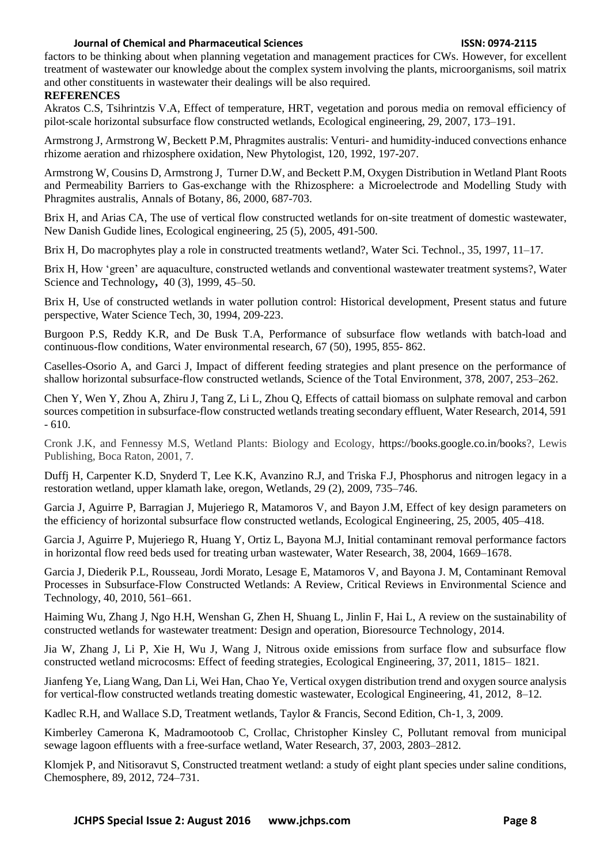factors to be thinking about when planning vegetation and management practices for CWs. However, for excellent treatment of wastewater our knowledge about the complex system involving the plants, microorganisms, soil matrix and other constituents in wastewater their dealings will be also required.

# **REFERENCES**

Akratos C.S, Tsihrintzis V.A, Effect of temperature, HRT, vegetation and porous media on removal efficiency of pilot-scale horizontal subsurface flow constructed wetlands, Ecological engineering, 29, 2007, 173–191.

Armstrong J, Armstrong W, Beckett P.M, Phragmites australis: Venturi- and humidity-induced convections enhance rhizome aeration and rhizosphere oxidation, New Phytologist, 120, 1992, 197-207.

Armstrong W, Cousins D, Armstrong J, Turner D.W, and Beckett P.M, Oxygen Distribution in Wetland Plant Roots and Permeability Barriers to Gas-exchange with the Rhizosphere: a Microelectrode and Modelling Study with Phragmites australis, Annals of Botany, 86, 2000, 687-703.

Brix H, and Arias CA, The use of vertical flow constructed wetlands for on-site treatment of domestic wastewater, New Danish Gudide lines, Ecological engineering, 25 (5), 2005, 491-500.

Brix H, Do macrophytes play a role in constructed treatments wetland?, Water Sci. Technol., 35, 1997, 11–17.

Brix H, How 'green' are aquaculture, constructed wetlands and conventional wastewater treatment systems?, [Water](http://www.sciencedirect.com/science/journal/02731223)  [Science and Technology](http://www.sciencedirect.com/science/journal/02731223)**,** [40](http://www.sciencedirect.com/science/journal/02731223/40/3) (3), 1999, 45–50.

Brix H, Use of constructed wetlands in water pollution control: Historical development, Present status and future perspective, Water Science Tech, 30, 1994, 209-223.

Burgoon P.S, Reddy K.R, and De Busk T.A, Performance of subsurface flow wetlands with batch-load and continuous-flow conditions, Water environmental research, 67 (50), 1995, 855- 862.

Caselles-Osorio A, and Garci J, Impact of different feeding strategies and plant presence on the performance of shallow horizontal subsurface-flow constructed wetlands, Science of the Total Environment, 378, 2007, 253–262.

Chen Y, Wen Y, Zhou A, Zhiru J, Tang Z, Li L, Zhou Q, Effects of cattail biomass on sulphate removal and carbon sources competition in subsurface-flow constructed wetlands treating secondary effluent, Water Research, 2014, 591  $-610.$ 

Cronk J.K, and Fennessy M.S, Wetland Plants: Biology and Ecology, https://books.google.co.in/books?, Lewis Publishing, Boca Raton, 2001, 7.

Duffj H, Carpenter K.D, Snyderd T, Lee K.K, Avanzino R.J, and Triska F.J, Phosphorus and nitrogen legacy in a restoration wetland, upper klamath lake, oregon, Wetlands, 29 (2), 2009, 735–746.

Garcia J, Aguirre P, Barragian J, Mujeriego R, Matamoros V, and Bayon J.M, Effect of key design parameters on the efficiency of horizontal subsurface flow constructed wetlands, Ecological Engineering, 25, 2005, 405–418.

Garcia J, Aguirre P, Mujeriego R, Huang Y, Ortiz L, Bayona M.J, Initial contaminant removal performance factors in horizontal flow reed beds used for treating urban wastewater, Water Research, 38, 2004, 1669–1678.

Garcia J, Diederik P.L, Rousseau, Jordi Morato, Lesage E, Matamoros V, and Bayona J. M, Contaminant Removal Processes in Subsurface-Flow Constructed Wetlands: A Review, Critical Reviews in Environmental Science and Technology, 40, 2010, 561–661.

Haiming Wu, Zhang J, Ngo H.H, Wenshan G, Zhen H, Shuang L, Jinlin F, Hai L, A review on the sustainability of constructed wetlands for wastewater treatment: Design and operation, Bioresource Technology, 2014.

Jia W, Zhang J, Li P, Xie H, Wu J, Wang J, Nitrous oxide emissions from surface flow and subsurface flow constructed wetland microcosms: Effect of feeding strategies, Ecological Engineering, 37, 2011, 1815– 1821.

Jianfeng Ye, Liang Wang, Dan Li, Wei Han, Chao Ye, Vertical oxygen distribution trend and oxygen source analysis for vertical-flow constructed wetlands treating domestic wastewater, Ecological Engineering, 41, 2012, 8–12.

Kadlec R.H, and Wallace S.D, Treatment wetlands, Taylor & Francis, Second Edition, Ch-1, 3, 2009.

Kimberley Camerona K, Madramootoob C, Crollac, Christopher Kinsley C, Pollutant removal from municipal sewage lagoon effluents with a free-surface wetland, Water Research, 37, 2003, 2803–2812.

Klomjek P, and Nitisoravut S, Constructed treatment wetland: a study of eight plant species under saline conditions, Chemosphere, 89, 2012, 724–731.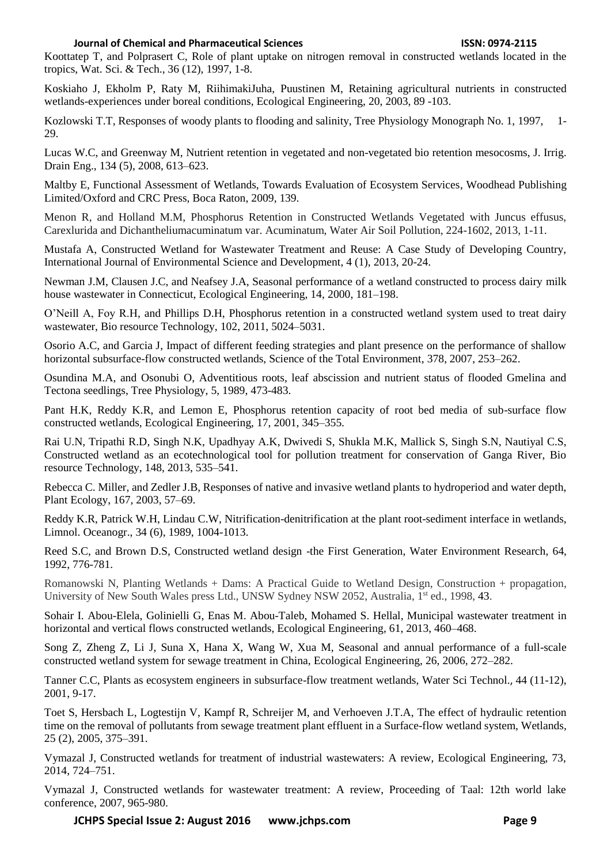Koottatep T, and Polprasert C, Role of plant uptake on nitrogen removal in constructed wetlands located in the tropics, Wat. Sci. & Tech., 36 (12), 1997, 1-8.

Koskiaho J, Ekholm P, Raty M, RiihimakiJuha, Puustinen M, Retaining agricultural nutrients in constructed wetlands-experiences under boreal conditions, Ecological Engineering, 20, 2003, 89 -103.

Kozlowski T.T, Responses of woody plants to flooding and salinity, Tree Physiology Monograph No. 1, 1997, 1- 29.

Lucas W.C, and Greenway M, Nutrient retention in vegetated and non-vegetated bio retention mesocosms, J. Irrig. Drain Eng., 134 (5), 2008, 613–623.

Maltby E, Functional Assessment of Wetlands, Towards Evaluation of Ecosystem Services, Woodhead Publishing Limited/Oxford and CRC Press, Boca Raton, 2009, 139.

Menon R, and Holland M.M, Phosphorus Retention in Constructed Wetlands Vegetated with Juncus effusus, Carexlurida and Dichantheliumacuminatum var. Acuminatum, Water Air Soil Pollution, 224-1602, 2013, 1-11.

Mustafa A, Constructed Wetland for Wastewater Treatment and Reuse: A Case Study of Developing Country, International Journal of Environmental Science and Development, 4 (1), 2013, 20-24.

Newman J.M, Clausen J.C, and Neafsey J.A, Seasonal performance of a wetland constructed to process dairy milk house wastewater in Connecticut, Ecological Engineering, 14, 2000, 181–198.

O'Neill A, Foy R.H, and Phillips D.H, Phosphorus retention in a constructed wetland system used to treat dairy wastewater, Bio resource Technology, 102, 2011, 5024–5031.

Osorio A.C, and Garcia J, Impact of different feeding strategies and plant presence on the performance of shallow horizontal subsurface-flow constructed wetlands, Science of the Total Environment, 378, 2007, 253–262.

Osundina M.A, and Osonubi O, Adventitious roots, leaf abscission and nutrient status of flooded Gmelina and Tectona seedlings, Tree Physiology, 5, 1989, 473-483.

Pant H.K, Reddy K.R, and Lemon E, Phosphorus retention capacity of root bed media of sub-surface flow constructed wetlands, Ecological Engineering, 17, 2001, 345–355.

Rai U.N, Tripathi R.D, Singh N.K, Upadhyay A.K, Dwivedi S, Shukla M.K, Mallick S, Singh S.N, Nautiyal C.S, Constructed wetland as an ecotechnological tool for pollution treatment for conservation of Ganga River, Bio resource Technology, 148, 2013, 535–541.

Rebecca C. Miller, and Zedler J.B, Responses of native and invasive wetland plants to hydroperiod and water depth, Plant Ecology, 167, 2003, 57–69.

Reddy K.R, Patrick W.H, Lindau C.W, Nitrification-denitrification at the plant root-sediment interface in wetlands, Limnol. Oceanogr., 34 (6), 1989, 1004-1013.

Reed S.C, and Brown D.S, Constructed wetland design -the First Generation, Water Environment Research, 64, 1992, 776-781.

Romanowski N, Planting Wetlands + Dams: A Practical Guide to Wetland Design, Construction + propagation, University of New South Wales press Ltd., UNSW Sydney NSW 2052, Australia, 1st ed., 1998, 43.

Sohair I. Abou-Elela, Golinielli G, Enas M. Abou-Taleb, Mohamed S. Hellal, Municipal wastewater treatment in horizontal and vertical flows constructed wetlands, Ecological Engineering, 61, 2013, 460–468.

Song Z, Zheng Z, Li J, Suna X, Hana X, Wang W, Xua M, Seasonal and annual performance of a full-scale constructed wetland system for sewage treatment in China, Ecological Engineering, 26, 2006, 272–282.

Tanner C.C, Plants as ecosystem engineers in subsurface-flow treatment wetlands, [Water Sci Technol.](http://www.ncbi.nlm.nih.gov/pubmed/11804163), 44 (11-12), 2001, 9-17.

Toet S, Hersbach L, Logtestijn V, Kampf R, Schreijer M, and Verhoeven J.T.A, The effect of hydraulic retention time on the removal of pollutants from sewage treatment plant effluent in a Surface-flow wetland system, Wetlands*,*  25 (2), 2005, 375–391.

Vymazal J, Constructed wetlands for treatment of industrial wastewaters: A review, Ecological Engineering, 73, 2014, 724–751.

Vymazal J, Constructed wetlands for wastewater treatment: A review, Proceeding of Taal: 12th world lake conference, 2007, 965-980.